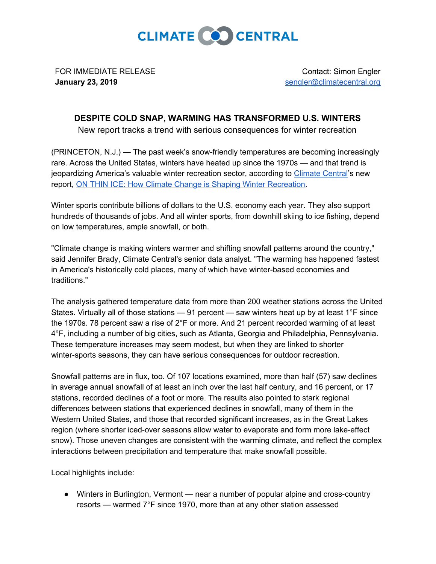

FOR IMMEDIATE RELEASE **January 23, 2019**

Contact: Simon Engler [sengler@climatecentral.org](mailto:sengler@climatecentral.org)

## **DESPITE COLD SNAP, WARMING HAS TRANSFORMED U.S. WINTERS**

New report tracks a trend with serious consequences for winter recreation

(PRINCETON, N.J.) — The past week's snow-friendly temperatures are becoming increasingly rare. Across the United States, winters have heated up since the 1970s — and that trend is jeopardizing America's valuable winter recreation sector, according to [Climate](http://climatecentral.org/) Central's new report, ON THIN ICE: How Climate Change is Shaping Winter [Recreation.](https://www.climatecentral.org/news/report-on-thin-ice-climate-change-shaping-winter-recreation)

Winter sports contribute billions of dollars to the U.S. economy each year. They also support hundreds of thousands of jobs. And all winter sports, from downhill skiing to ice fishing, depend on low temperatures, ample snowfall, or both.

"Climate change is making winters warmer and shifting snowfall patterns around the country," said Jennifer Brady, Climate Central's senior data analyst. "The warming has happened fastest in America's historically cold places, many of which have winter-based economies and traditions."

The analysis gathered temperature data from more than 200 weather stations across the United States. Virtually all of those stations — 91 percent — saw winters heat up by at least 1°F since the 1970s. 78 percent saw a rise of 2°F or more. And 21 percent recorded warming of at least 4°F, including a number of big cities, such as Atlanta, Georgia and Philadelphia, Pennsylvania. These temperature increases may seem modest, but when they are linked to shorter winter-sports seasons, they can have serious consequences for outdoor recreation.

Snowfall patterns are in flux, too. Of 107 locations examined, more than half (57) saw declines in average annual snowfall of at least an inch over the last half century, and 16 percent, or 17 stations, recorded declines of a foot or more. The results also pointed to stark regional differences between stations that experienced declines in snowfall, many of them in the Western United States, and those that recorded significant increases, as in the Great Lakes region (where shorter iced-over seasons allow water to evaporate and form more lake-effect snow). Those uneven changes are consistent with the warming climate, and reflect the complex interactions between precipitation and temperature that make snowfall possible.

Local highlights include:

● Winters in Burlington, Vermont — near a number of popular alpine and cross-country resorts — warmed 7°F since 1970, more than at any other station assessed